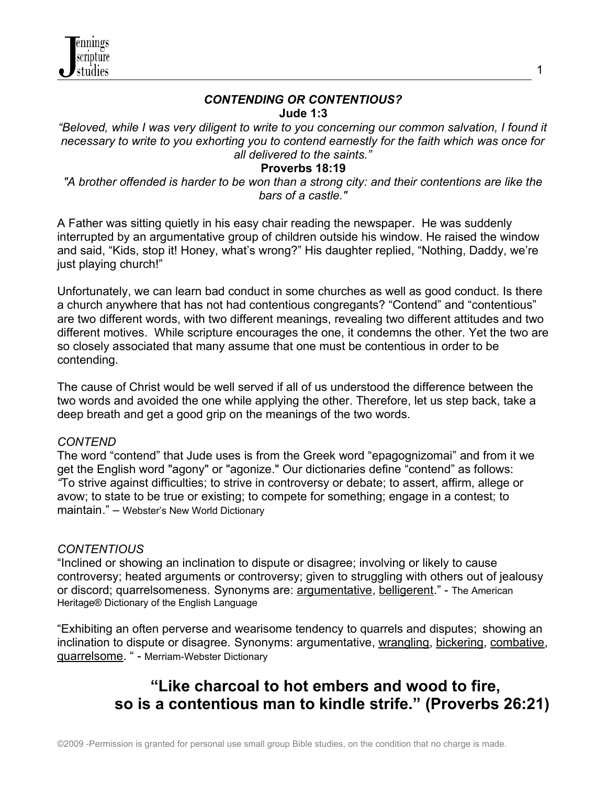

#### *CONTENDING OR CONTENTIOUS?* **Jude 1:3**

*"Beloved, while I was very diligent to write to you concerning our common salvation, I found it necessary to write to you exhorting you to contend earnestly for the faith which was once for all delivered to the saints."*

### **Proverbs 18:19**

*"A brother offended is harder to be won than a strong city: and their contentions are like the bars of a castle."*

A Father was sitting quietly in his easy chair reading the newspaper. He was suddenly interrupted by an argumentative group of children outside his window. He raised the window and said, "Kids, stop it! Honey, what's wrong?" His daughter replied, "Nothing, Daddy, we're just playing church!"

Unfortunately, we can learn bad conduct in some churches as well as good conduct. Is there a church anywhere that has not had contentious congregants? "Contend" and "contentious" are two different words, with two different meanings, revealing two different attitudes and two different motives. While scripture encourages the one, it condemns the other. Yet the two are so closely associated that many assume that one must be contentious in order to be contending.

The cause of Christ would be well served if all of us understood the difference between the two words and avoided the one while applying the other. Therefore, let us step back, take a deep breath and get a good grip on the meanings of the two words.

#### *CONTEND*

The word "contend" that Jude uses is from the Greek word "epagognizomai" and from it we get the English word "agony" or "agonize." Our dictionaries define "contend" as follows: *"*To strive against difficulties; to strive in controversy or debate; to assert, affirm, allege or avow; to state to be true or existing; to compete for something; engage in a contest; to maintain." – Webster's New World Dictionary

#### *CONTENTIOUS*

"Inclined or showing an inclination to dispute or disagree; involving or likely to cause controversy; heated arguments or controversy; given to struggling with others out of jealousy or discord; quarrelsomeness. Synonyms are: [argumentative,](http://www.thefreedictionary.com/argumentative) [belligerent.](http://www.thefreedictionary.com/belligerent)" - The American Heritage® Dictionary of the English Language

"Exhibiting an often perverse and wearisome tendency to quarrels and disputes; showing an inclination to dispute or disagree. Synonyms: argumentative, [wrangling,](http://www.thefreedictionary.com/wrangle) [bickering,](http://www.thefreedictionary.com/bicker) [combative,](http://www.thefreedictionary.com/combative) [quarrelsome.](http://www.thefreedictionary.com/quarrelsome) " - Merriam-Webster Dictionary

# **"Like charcoal to hot embers and wood to fire, so is a contentious man to kindle strife." (Proverbs 26:21)**

1